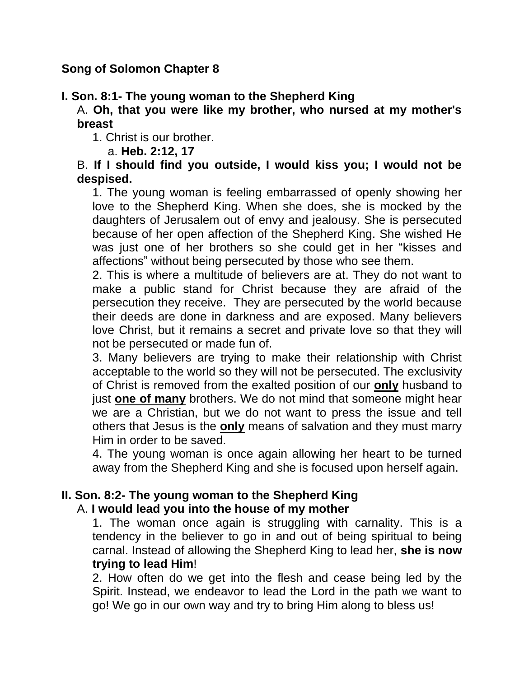## **Song of Solomon Chapter 8**

# **I. Son. 8:1- The young woman to the Shepherd King**

A. **Oh, that you were like my brother, who nursed at my mother's breast**

1. Christ is our brother.

a. **Heb. 2:12, 17**

#### B. **If I should find you outside, I would kiss you; I would not be despised.**

1. The young woman is feeling embarrassed of openly showing her love to the Shepherd King. When she does, she is mocked by the daughters of Jerusalem out of envy and jealousy. She is persecuted because of her open affection of the Shepherd King. She wished He was just one of her brothers so she could get in her "kisses and affections" without being persecuted by those who see them.

2. This is where a multitude of believers are at. They do not want to make a public stand for Christ because they are afraid of the persecution they receive. They are persecuted by the world because their deeds are done in darkness and are exposed. Many believers love Christ, but it remains a secret and private love so that they will not be persecuted or made fun of.

3. Many believers are trying to make their relationship with Christ acceptable to the world so they will not be persecuted. The exclusivity of Christ is removed from the exalted position of our **only** husband to just **one of many** brothers. We do not mind that someone might hear we are a Christian, but we do not want to press the issue and tell others that Jesus is the **only** means of salvation and they must marry Him in order to be saved.

4. The young woman is once again allowing her heart to be turned away from the Shepherd King and she is focused upon herself again.

# **II. Son. 8:2- The young woman to the Shepherd King**

## A. **I would lead you into the house of my mother**

1. The woman once again is struggling with carnality. This is a tendency in the believer to go in and out of being spiritual to being carnal. Instead of allowing the Shepherd King to lead her, **she is now trying to lead Him**!

2. How often do we get into the flesh and cease being led by the Spirit. Instead, we endeavor to lead the Lord in the path we want to go! We go in our own way and try to bring Him along to bless us!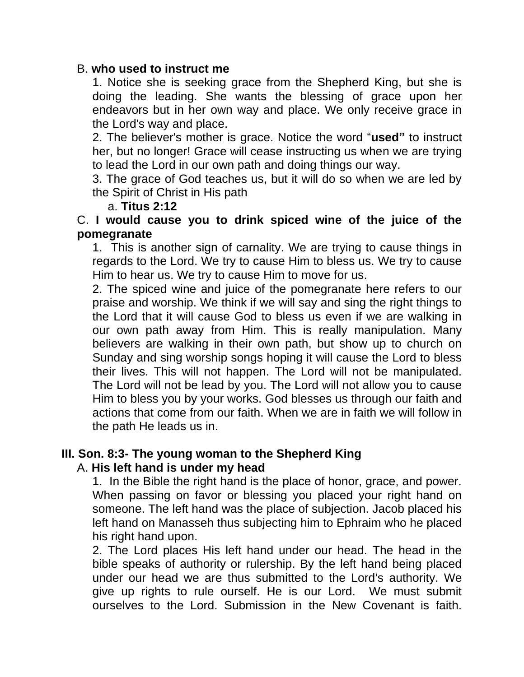#### B. **who used to instruct me**

1. Notice she is seeking grace from the Shepherd King, but she is doing the leading. She wants the blessing of grace upon her endeavors but in her own way and place. We only receive grace in the Lord's way and place.

2. The believer's mother is grace. Notice the word "**used"** to instruct her, but no longer! Grace will cease instructing us when we are trying to lead the Lord in our own path and doing things our way.

3. The grace of God teaches us, but it will do so when we are led by the Spirit of Christ in His path

#### a. **Titus 2:12**

#### C. **I would cause you to drink spiced wine of the juice of the pomegranate**

1. This is another sign of carnality. We are trying to cause things in regards to the Lord. We try to cause Him to bless us. We try to cause Him to hear us. We try to cause Him to move for us.

2. The spiced wine and juice of the pomegranate here refers to our praise and worship. We think if we will say and sing the right things to the Lord that it will cause God to bless us even if we are walking in our own path away from Him. This is really manipulation. Many believers are walking in their own path, but show up to church on Sunday and sing worship songs hoping it will cause the Lord to bless their lives. This will not happen. The Lord will not be manipulated. The Lord will not be lead by you. The Lord will not allow you to cause Him to bless you by your works. God blesses us through our faith and actions that come from our faith. When we are in faith we will follow in the path He leads us in.

# **III. Son. 8:3- The young woman to the Shepherd King**

#### A. **His left hand is under my head**

1. In the Bible the right hand is the place of honor, grace, and power. When passing on favor or blessing you placed your right hand on someone. The left hand was the place of subjection. Jacob placed his left hand on Manasseh thus subjecting him to Ephraim who he placed his right hand upon.

2. The Lord places His left hand under our head. The head in the bible speaks of authority or rulership. By the left hand being placed under our head we are thus submitted to the Lord's authority. We give up rights to rule ourself. He is our Lord. We must submit ourselves to the Lord. Submission in the New Covenant is faith.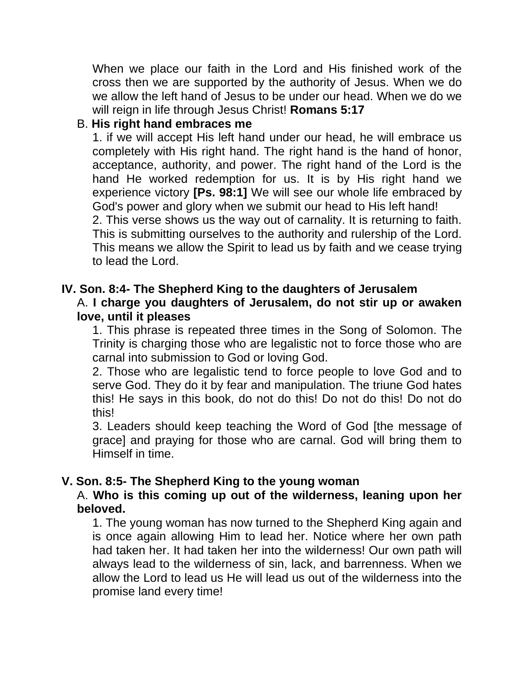When we place our faith in the Lord and His finished work of the cross then we are supported by the authority of Jesus. When we do we allow the left hand of Jesus to be under our head. When we do we will reign in life through Jesus Christ! **Romans 5:17**

# B. **His right hand embraces me**

1. if we will accept His left hand under our head, he will embrace us completely with His right hand. The right hand is the hand of honor, acceptance, authority, and power. The right hand of the Lord is the hand He worked redemption for us. It is by His right hand we experience victory **[Ps. 98:1]** We will see our whole life embraced by God's power and glory when we submit our head to His left hand! 2. This verse shows us the way out of carnality. It is returning to faith. This is submitting ourselves to the authority and rulership of the Lord. This means we allow the Spirit to lead us by faith and we cease trying to lead the Lord.

# **IV. Son. 8:4- The Shepherd King to the daughters of Jerusalem**

#### A. **I charge you daughters of Jerusalem, do not stir up or awaken love, until it pleases**

1. This phrase is repeated three times in the Song of Solomon. The Trinity is charging those who are legalistic not to force those who are carnal into submission to God or loving God.

2. Those who are legalistic tend to force people to love God and to serve God. They do it by fear and manipulation. The triune God hates this! He says in this book, do not do this! Do not do this! Do not do this!

3. Leaders should keep teaching the Word of God [the message of grace] and praying for those who are carnal. God will bring them to Himself in time.

## **V. Son. 8:5- The Shepherd King to the young woman**

## A. **Who is this coming up out of the wilderness, leaning upon her beloved.**

1. The young woman has now turned to the Shepherd King again and is once again allowing Him to lead her. Notice where her own path had taken her. It had taken her into the wilderness! Our own path will always lead to the wilderness of sin, lack, and barrenness. When we allow the Lord to lead us He will lead us out of the wilderness into the promise land every time!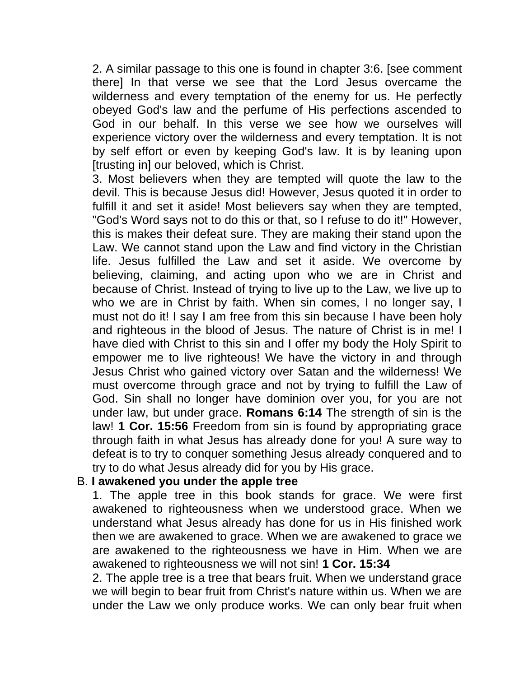2. A similar passage to this one is found in chapter 3:6. [see comment there] In that verse we see that the Lord Jesus overcame the wilderness and every temptation of the enemy for us. He perfectly obeyed God's law and the perfume of His perfections ascended to God in our behalf. In this verse we see how we ourselves will experience victory over the wilderness and every temptation. It is not by self effort or even by keeping God's law. It is by leaning upon [trusting in] our beloved, which is Christ.

3. Most believers when they are tempted will quote the law to the devil. This is because Jesus did! However, Jesus quoted it in order to fulfill it and set it aside! Most believers say when they are tempted, "God's Word says not to do this or that, so I refuse to do it!" However, this is makes their defeat sure. They are making their stand upon the Law. We cannot stand upon the Law and find victory in the Christian life. Jesus fulfilled the Law and set it aside. We overcome by believing, claiming, and acting upon who we are in Christ and because of Christ. Instead of trying to live up to the Law, we live up to who we are in Christ by faith. When sin comes, I no longer say, I must not do it! I say I am free from this sin because I have been holy and righteous in the blood of Jesus. The nature of Christ is in me! I have died with Christ to this sin and I offer my body the Holy Spirit to empower me to live righteous! We have the victory in and through Jesus Christ who gained victory over Satan and the wilderness! We must overcome through grace and not by trying to fulfill the Law of God. Sin shall no longer have dominion over you, for you are not under law, but under grace. **Romans 6:14** The strength of sin is the law! **1 Cor. 15:56** Freedom from sin is found by appropriating grace through faith in what Jesus has already done for you! A sure way to defeat is to try to conquer something Jesus already conquered and to try to do what Jesus already did for you by His grace.

#### B. **I awakened you under the apple tree**

1. The apple tree in this book stands for grace. We were first awakened to righteousness when we understood grace. When we understand what Jesus already has done for us in His finished work then we are awakened to grace. When we are awakened to grace we are awakened to the righteousness we have in Him. When we are awakened to righteousness we will not sin! **1 Cor. 15:34**

2. The apple tree is a tree that bears fruit. When we understand grace we will begin to bear fruit from Christ's nature within us. When we are under the Law we only produce works. We can only bear fruit when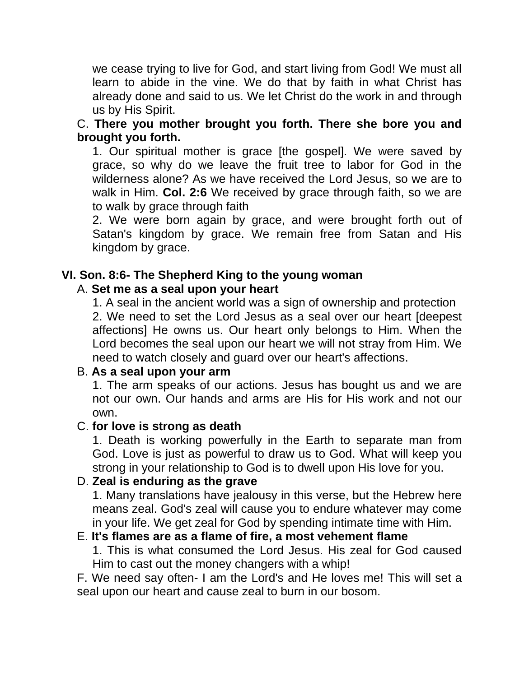we cease trying to live for God, and start living from God! We must all learn to abide in the vine. We do that by faith in what Christ has already done and said to us. We let Christ do the work in and through us by His Spirit.

C. **There you mother brought you forth. There she bore you and brought you forth.** 

1. Our spiritual mother is grace [the gospel]. We were saved by grace, so why do we leave the fruit tree to labor for God in the wilderness alone? As we have received the Lord Jesus, so we are to walk in Him. **Col. 2:6** We received by grace through faith, so we are to walk by grace through faith

2. We were born again by grace, and were brought forth out of Satan's kingdom by grace. We remain free from Satan and His kingdom by grace.

## **VI. Son. 8:6- The Shepherd King to the young woman**

#### A. **Set me as a seal upon your heart**

1. A seal in the ancient world was a sign of ownership and protection 2. We need to set the Lord Jesus as a seal over our heart [deepest affections] He owns us. Our heart only belongs to Him. When the Lord becomes the seal upon our heart we will not stray from Him. We need to watch closely and guard over our heart's affections.

#### B. **As a seal upon your arm**

1. The arm speaks of our actions. Jesus has bought us and we are not our own. Our hands and arms are His for His work and not our own.

## C. **for love is strong as death**

1. Death is working powerfully in the Earth to separate man from God. Love is just as powerful to draw us to God. What will keep you strong in your relationship to God is to dwell upon His love for you.

## D. **Zeal is enduring as the grave**

1. Many translations have jealousy in this verse, but the Hebrew here means zeal. God's zeal will cause you to endure whatever may come in your life. We get zeal for God by spending intimate time with Him.

#### E. **It's flames are as a flame of fire, a most vehement flame**

1. This is what consumed the Lord Jesus. His zeal for God caused Him to cast out the money changers with a whip!

F. We need say often- I am the Lord's and He loves me! This will set a seal upon our heart and cause zeal to burn in our bosom.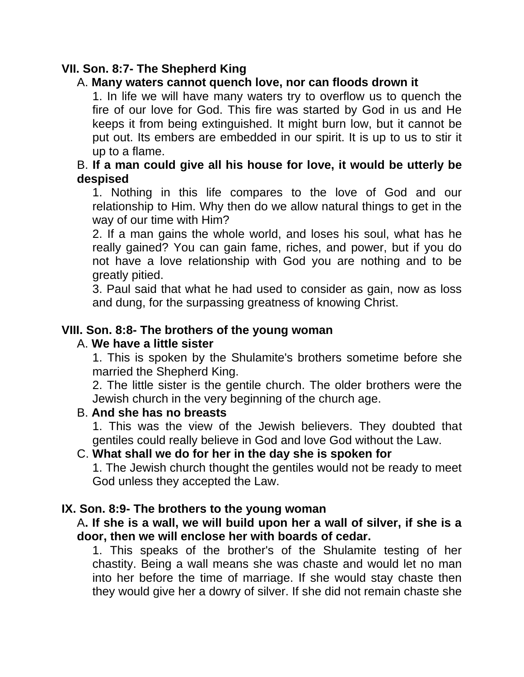# **VII. Son. 8:7- The Shepherd King**

# A. **Many waters cannot quench love, nor can floods drown it**

1. In life we will have many waters try to overflow us to quench the fire of our love for God. This fire was started by God in us and He keeps it from being extinguished. It might burn low, but it cannot be put out. Its embers are embedded in our spirit. It is up to us to stir it up to a flame.

## B. **If a man could give all his house for love, it would be utterly be despised**

1. Nothing in this life compares to the love of God and our relationship to Him. Why then do we allow natural things to get in the way of our time with Him?

2. If a man gains the whole world, and loses his soul, what has he really gained? You can gain fame, riches, and power, but if you do not have a love relationship with God you are nothing and to be greatly pitied.

3. Paul said that what he had used to consider as gain, now as loss and dung, for the surpassing greatness of knowing Christ.

## **VIII. Son. 8:8- The brothers of the young woman**

#### A. **We have a little sister**

1. This is spoken by the Shulamite's brothers sometime before she married the Shepherd King.

2. The little sister is the gentile church. The older brothers were the Jewish church in the very beginning of the church age.

## B. **And she has no breasts**

1. This was the view of the Jewish believers. They doubted that gentiles could really believe in God and love God without the Law.

## C. **What shall we do for her in the day she is spoken for**

1. The Jewish church thought the gentiles would not be ready to meet God unless they accepted the Law.

#### **IX. Son. 8:9- The brothers to the young woman**

#### A**. If she is a wall, we will build upon her a wall of silver, if she is a door, then we will enclose her with boards of cedar.**

1. This speaks of the brother's of the Shulamite testing of her chastity. Being a wall means she was chaste and would let no man into her before the time of marriage. If she would stay chaste then they would give her a dowry of silver. If she did not remain chaste she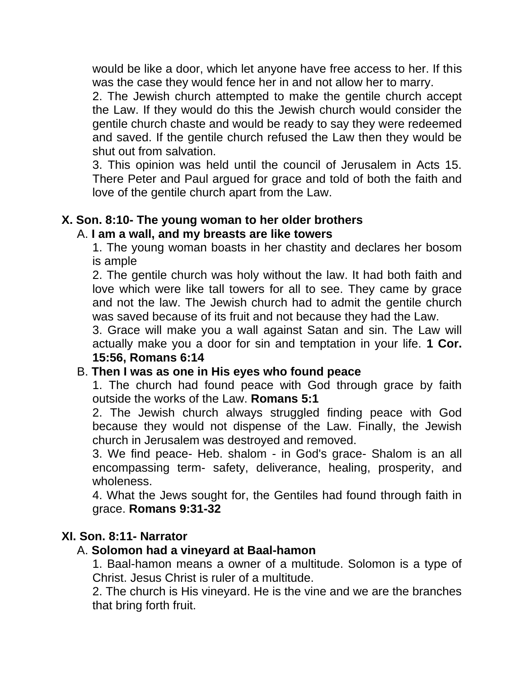would be like a door, which let anyone have free access to her. If this was the case they would fence her in and not allow her to marry.

2. The Jewish church attempted to make the gentile church accept the Law. If they would do this the Jewish church would consider the gentile church chaste and would be ready to say they were redeemed and saved. If the gentile church refused the Law then they would be shut out from salvation.

3. This opinion was held until the council of Jerusalem in Acts 15. There Peter and Paul argued for grace and told of both the faith and love of the gentile church apart from the Law.

#### **X. Son. 8:10- The young woman to her older brothers** A. **I am a wall, and my breasts are like towers**

1. The young woman boasts in her chastity and declares her bosom is ample

2. The gentile church was holy without the law. It had both faith and love which were like tall towers for all to see. They came by grace and not the law. The Jewish church had to admit the gentile church was saved because of its fruit and not because they had the Law.

3. Grace will make you a wall against Satan and sin. The Law will actually make you a door for sin and temptation in your life. **1 Cor. 15:56, Romans 6:14**

## B. **Then I was as one in His eyes who found peace**

1. The church had found peace with God through grace by faith outside the works of the Law. **Romans 5:1**

2. The Jewish church always struggled finding peace with God because they would not dispense of the Law. Finally, the Jewish church in Jerusalem was destroyed and removed.

3. We find peace- Heb. shalom - in God's grace- Shalom is an all encompassing term- safety, deliverance, healing, prosperity, and wholeness.

4. What the Jews sought for, the Gentiles had found through faith in grace. **Romans 9:31-32**

## **XI. Son. 8:11- Narrator**

## A. **Solomon had a vineyard at Baal-hamon**

1. Baal-hamon means a owner of a multitude. Solomon is a type of Christ. Jesus Christ is ruler of a multitude.

2. The church is His vineyard. He is the vine and we are the branches that bring forth fruit.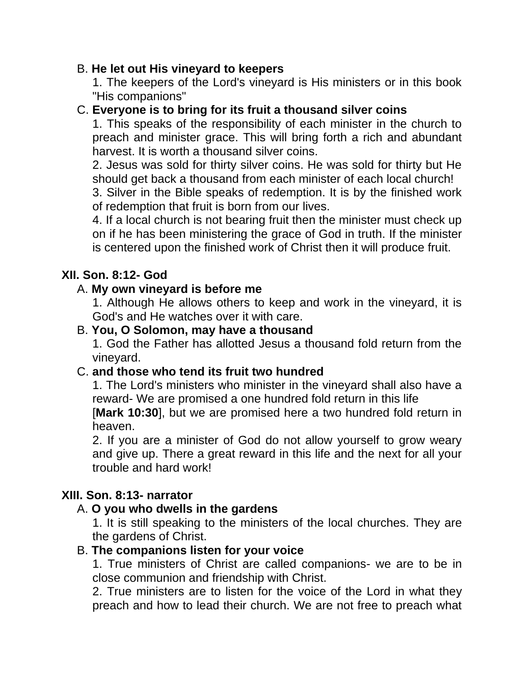# B. **He let out His vineyard to keepers**

1. The keepers of the Lord's vineyard is His ministers or in this book "His companions"

# C. **Everyone is to bring for its fruit a thousand silver coins**

1. This speaks of the responsibility of each minister in the church to preach and minister grace. This will bring forth a rich and abundant harvest. It is worth a thousand silver coins.

2. Jesus was sold for thirty silver coins. He was sold for thirty but He should get back a thousand from each minister of each local church!

3. Silver in the Bible speaks of redemption. It is by the finished work of redemption that fruit is born from our lives.

4. If a local church is not bearing fruit then the minister must check up on if he has been ministering the grace of God in truth. If the minister is centered upon the finished work of Christ then it will produce fruit.

## **XII. Son. 8:12- God**

# A. **My own vineyard is before me**

1. Although He allows others to keep and work in the vineyard, it is God's and He watches over it with care.

## B. **You, O Solomon, may have a thousand**

1. God the Father has allotted Jesus a thousand fold return from the vineyard.

## C. **and those who tend its fruit two hundred**

1. The Lord's ministers who minister in the vineyard shall also have a reward- We are promised a one hundred fold return in this life [**Mark 10:30**], but we are promised here a two hundred fold return in heaven.

2. If you are a minister of God do not allow yourself to grow weary and give up. There a great reward in this life and the next for all your trouble and hard work!

## **XIII. Son. 8:13- narrator**

## A. **O you who dwells in the gardens**

1. It is still speaking to the ministers of the local churches. They are the gardens of Christ.

## B. **The companions listen for your voice**

1. True ministers of Christ are called companions- we are to be in close communion and friendship with Christ.

2. True ministers are to listen for the voice of the Lord in what they preach and how to lead their church. We are not free to preach what